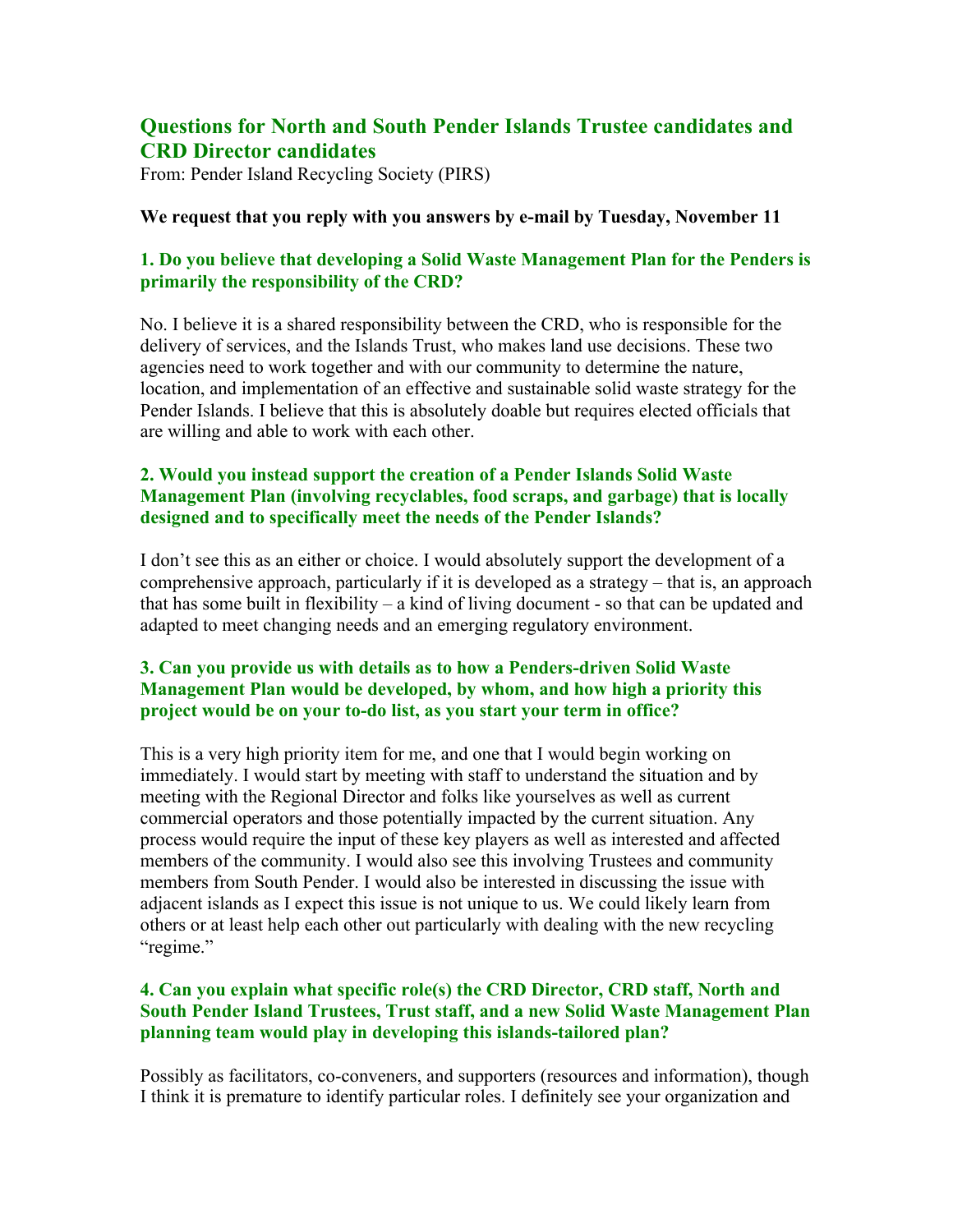# **Questions for North and South Pender Islands Trustee candidates and CRD Director candidates**

From: Pender Island Recycling Society (PIRS)

#### **We request that you reply with you answers by e-mail by Tuesday, November 11**

# **1. Do you believe that developing a Solid Waste Management Plan for the Penders is primarily the responsibility of the CRD?**

No. I believe it is a shared responsibility between the CRD, who is responsible for the delivery of services, and the Islands Trust, who makes land use decisions. These two agencies need to work together and with our community to determine the nature, location, and implementation of an effective and sustainable solid waste strategy for the Pender Islands. I believe that this is absolutely doable but requires elected officials that are willing and able to work with each other.

# **2. Would you instead support the creation of a Pender Islands Solid Waste Management Plan (involving recyclables, food scraps, and garbage) that is locally designed and to specifically meet the needs of the Pender Islands?**

I don't see this as an either or choice. I would absolutely support the development of a comprehensive approach, particularly if it is developed as a strategy – that is, an approach that has some built in flexibility – a kind of living document - so that can be updated and adapted to meet changing needs and an emerging regulatory environment.

# **3. Can you provide us with details as to how a Penders-driven Solid Waste Management Plan would be developed, by whom, and how high a priority this project would be on your to-do list, as you start your term in office?**

This is a very high priority item for me, and one that I would begin working on immediately. I would start by meeting with staff to understand the situation and by meeting with the Regional Director and folks like yourselves as well as current commercial operators and those potentially impacted by the current situation. Any process would require the input of these key players as well as interested and affected members of the community. I would also see this involving Trustees and community members from South Pender. I would also be interested in discussing the issue with adjacent islands as I expect this issue is not unique to us. We could likely learn from others or at least help each other out particularly with dealing with the new recycling "regime."

# **4. Can you explain what specific role(s) the CRD Director, CRD staff, North and South Pender Island Trustees, Trust staff, and a new Solid Waste Management Plan planning team would play in developing this islands-tailored plan?**

Possibly as facilitators, co-conveners, and supporters (resources and information), though I think it is premature to identify particular roles. I definitely see your organization and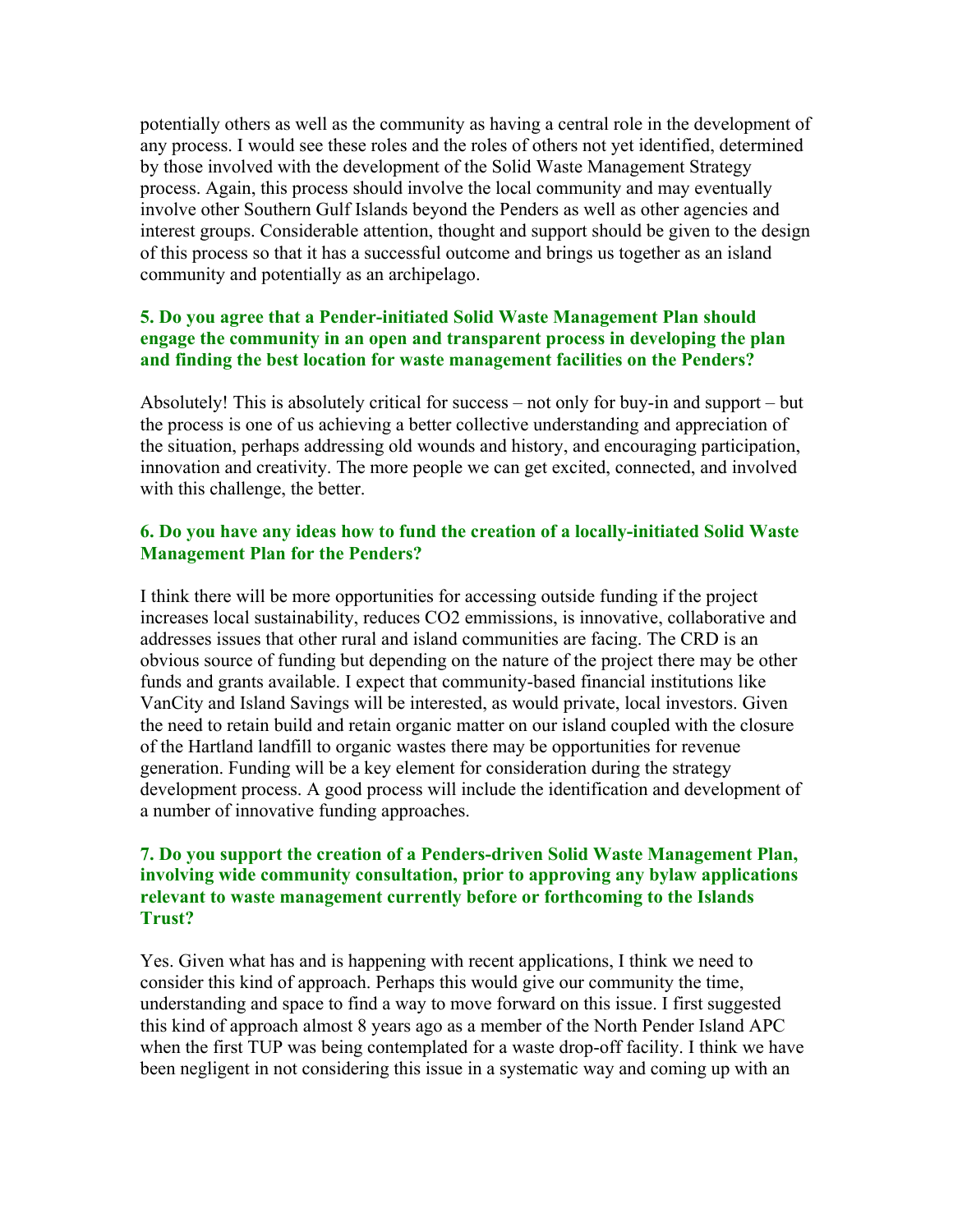potentially others as well as the community as having a central role in the development of any process. I would see these roles and the roles of others not yet identified, determined by those involved with the development of the Solid Waste Management Strategy process. Again, this process should involve the local community and may eventually involve other Southern Gulf Islands beyond the Penders as well as other agencies and interest groups. Considerable attention, thought and support should be given to the design of this process so that it has a successful outcome and brings us together as an island community and potentially as an archipelago.

# **5. Do you agree that a Pender-initiated Solid Waste Management Plan should engage the community in an open and transparent process in developing the plan and finding the best location for waste management facilities on the Penders?**

Absolutely! This is absolutely critical for success – not only for buy-in and support – but the process is one of us achieving a better collective understanding and appreciation of the situation, perhaps addressing old wounds and history, and encouraging participation, innovation and creativity. The more people we can get excited, connected, and involved with this challenge, the better.

### **6. Do you have any ideas how to fund the creation of a locally-initiated Solid Waste Management Plan for the Penders?**

I think there will be more opportunities for accessing outside funding if the project increases local sustainability, reduces CO2 emmissions, is innovative, collaborative and addresses issues that other rural and island communities are facing. The CRD is an obvious source of funding but depending on the nature of the project there may be other funds and grants available. I expect that community-based financial institutions like VanCity and Island Savings will be interested, as would private, local investors. Given the need to retain build and retain organic matter on our island coupled with the closure of the Hartland landfill to organic wastes there may be opportunities for revenue generation. Funding will be a key element for consideration during the strategy development process. A good process will include the identification and development of a number of innovative funding approaches.

# **7. Do you support the creation of a Penders-driven Solid Waste Management Plan, involving wide community consultation, prior to approving any bylaw applications relevant to waste management currently before or forthcoming to the Islands Trust?**

Yes. Given what has and is happening with recent applications, I think we need to consider this kind of approach. Perhaps this would give our community the time, understanding and space to find a way to move forward on this issue. I first suggested this kind of approach almost 8 years ago as a member of the North Pender Island APC when the first TUP was being contemplated for a waste drop-off facility. I think we have been negligent in not considering this issue in a systematic way and coming up with an